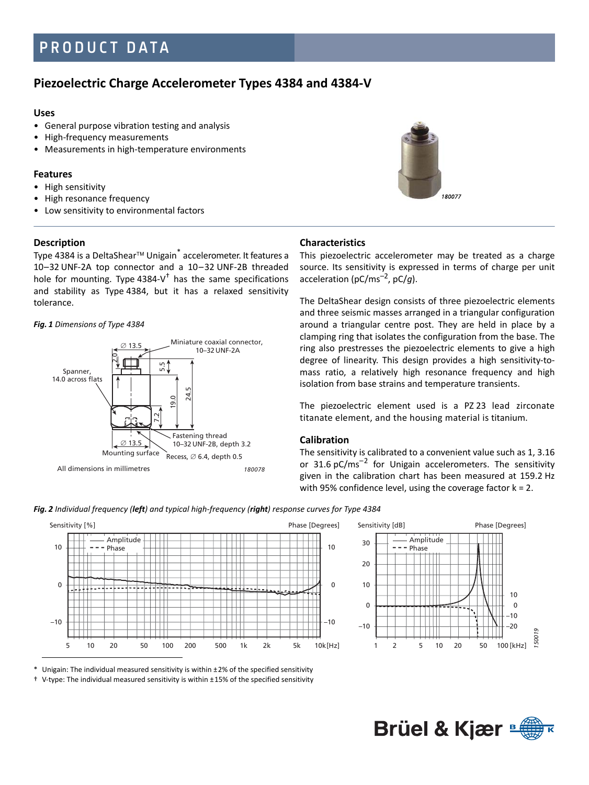# PRODUCT DATA

# **Piezoelectric Charge Accelerometer Types 4384 and 4384-V**

#### **Uses**

- General purpose vibration testing and analysis
- High-frequency measurements
- Measurements in high-temperature environments

# **Features**

- High sensitivity
- High resonance frequency
- Low sensitivity to environmental factors

# **Description**

Type 4384 is a DeltaShear™ Unigain<sup>\*</sup> accelerometer. It features a 10 – 32 UNF-2A top connector and a 10 – 32 UNF-2B threaded hole for mounting. Type 4384-V $^{\dagger}$  has the same specifications and stability as Type 4384, but it has a relaxed sensitivity tolerance.

#### *Fig. 1 Dimensions of Type 4384*



# **Characteristics**

This piezoelectric accelerometer may be treated as a charge source. Its sensitivity is expressed in terms of charge per unit acceleration (pC/ms–2, pC/*g*).

The DeltaShear design consists of three piezoelectric elements and three seismic masses arranged in a triangular configuration around a triangular centre post. They are held in place by a clamping ring that isolates the configuration from the base. The ring also prestresses the piezoelectric elements to give a high degree of linearity. This design provides a high sensitivity-tomass ratio, a relatively high resonance frequency and high isolation from base strains and temperature transients.

The piezoelectric element used is a PZ 23 lead zirconate titanate element, and the housing material is titanium.

# **Calibration**

The sensitivity is calibrated to a convenient value such as 1, 3.16 or 31.6 pC/ms<sup>-2</sup> for Unigain accelerometers. The sensitivity given in the calibration chart has been measured at 159.2 Hz with 95% confidence level, using the coverage factor  $k = 2$ .







Unigain: The individual measured sensitivity is within  $± 2%$  of the specified sensitivity

† V-type: The individual measured sensitivity is within ± 15% of the specified sensitivity